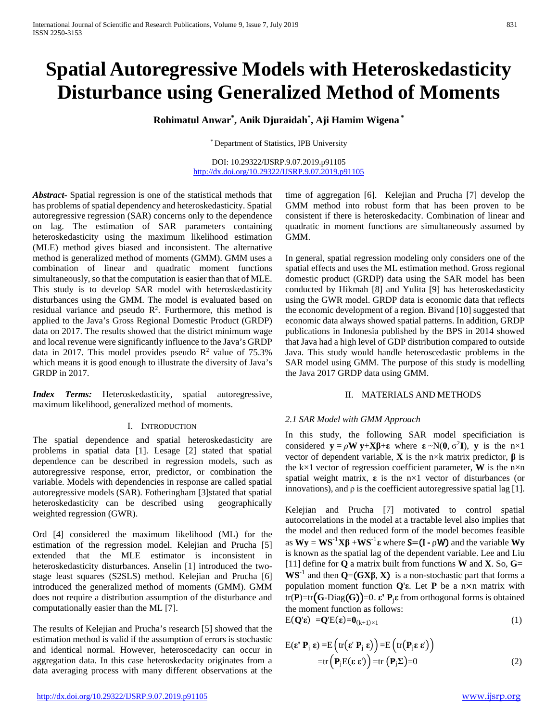# **Spatial Autoregressive Models with Heteroskedasticity Disturbance using Generalized Method of Moments**

## **Rohimatul Anwar\* , Anik Djuraidah\* , Aji Hamim Wigena \***

\* Department of Statistics, IPB University

DOI: 10.29322/IJSRP.9.07.2019.p91105 <http://dx.doi.org/10.29322/IJSRP.9.07.2019.p91105>

*Abstract***-** Spatial regression is one of the statistical methods that has problems of spatial dependency and heteroskedasticity. Spatial autoregressive regression (SAR) concerns only to the dependence on lag. The estimation of SAR parameters containing heteroskedasticity using the maximum likelihood estimation (MLE) method gives biased and inconsistent. The alternative method is generalized method of moments (GMM). GMM uses a combination of linear and quadratic moment functions simultaneously, so that the computation is easier than that of MLE. This study is to develop SAR model with heteroskedasticity disturbances using the GMM. The model is evaluated based on residual variance and pseudo  $\mathbb{R}^2$ . Furthermore, this method is applied to the Java's Gross Regional Domestic Product (GRDP) data on 2017. The results showed that the district minimum wage and local revenue were significantly influence to the Java's GRDP data in 2017. This model provides pseudo  $\mathbb{R}^2$  value of 75.3% which means it is good enough to illustrate the diversity of Java's GRDP in 2017.

*Index Terms:* Heteroskedasticity, spatial autoregressive, maximum likelihood, generalized method of moments.

#### I. INTRODUCTION

The spatial dependence and spatial heteroskedasticity are problems in spatial data [1]. Lesage [2] stated that spatial dependence can be described in regression models, such as autoregressive response, error, predictor, or combination the variable. Models with dependencies in response are called spatial autoregressive models (SAR). Fotheringham [3]stated that spatial heteroskedasticity can be described using geographically weighted regression (GWR).

Ord [4] considered the maximum likelihood (ML) for the estimation of the regression model. Kelejian and Prucha [5] extended that the MLE estimator is inconsistent in heteroskedasticity disturbances. Anselin [1] introduced the twostage least squares (S2SLS) method. Kelejian and Prucha [6] introduced the generalized method of moments (GMM). GMM does not require a distribution assumption of the disturbance and computationally easier than the ML [7].

The results of Kelejian and Prucha's research [5] showed that the estimation method is valid if the assumption of errors is stochastic and identical normal. However, heteroscedacity can occur in aggregation data. In this case heteroskedacity originates from a data averaging process with many different observations at the time of aggregation [6]. Kelejian and Prucha [7] develop the GMM method into robust form that has been proven to be consistent if there is heteroskedacity. Combination of linear and quadratic in moment functions are simultaneously assumed by GMM.

In general, spatial regression modeling only considers one of the spatial effects and uses the ML estimation method. Gross regional domestic product (GRDP) data using the SAR model has been conducted by Hikmah [8] and Yulita [9] has heteroskedasticity using the GWR model. GRDP data is economic data that reflects the economic development of a region. Bivand [10] suggested that economic data always showed spatial patterns. In addition, GRDP publications in Indonesia published by the BPS in 2014 showed that Java had a high level of GDP distribution compared to outside Java. This study would handle heteroscedastic problems in the SAR model using GMM. The purpose of this study is modelling the Java 2017 GRDP data using GMM.

#### II. MATERIALS AND METHODS

## *2.1 SAR Model with GMM Approach*

In this study, the following SAR model specificiation is considered  $y = \rho W y + X\beta + \epsilon$  where  $\epsilon \sim N(0, \sigma^2 I)$ , y is the n×1 vector of dependent variable, **X** is the n×k matrix predictor, **β** is the k×1 vector of regression coefficient parameter, **W** is the  $n \times n$ spatial weight matrix, **ε** is the n×1 vector of disturbances (or innovations), and  $\rho$  is the coefficient autoregressive spatial lag [1].

Kelejian and Prucha [7] motivated to control spatial autocorrelations in the model at a tractable level also implies that the model and then reduced form of the model becomes feasible as **Wy** = **WS**-1 **Xβ** +**WS**-1 **ε** where S=(I - ρW) and the variable **Wy** is known as the spatial lag of the dependent variable. Lee and Liu [11] define for **Q** a matrix built from functions **W** and **X**. So, **G**= **WS**<sup>-1</sup> and then **Q**=**(GXβ**, **X**) is a non-stochastic part that forms a population moment function **Q**'**ε**. Let **P** be a n×n matrix with tr(**P**)=tr(**G**-Diag(**G**))=0. **ε' P**<sub>i</sub>**ε** from orthogonal forms is obtained the moment function as follows:

$$
E(\mathbf{Q}'\varepsilon) = Q'E(\varepsilon) = 0_{(k+1)\times 1} \tag{1}
$$

$$
E(\mathbf{\varepsilon}^{\prime} \mathbf{P}_{j} \mathbf{\varepsilon}) = E\left(tr(\mathbf{\varepsilon}^{\prime} \mathbf{P}_{j} \mathbf{\varepsilon})\right) = E\left(tr(\mathbf{P}_{j} \mathbf{\varepsilon} \mathbf{\varepsilon}^{\prime})\right)
$$
  
=tr\left(\mathbf{P}\_{j}E(\mathbf{\varepsilon} \mathbf{\varepsilon}^{\prime})\right) =tr(\mathbf{P}\_{j}\Sigma)=0 \qquad (2)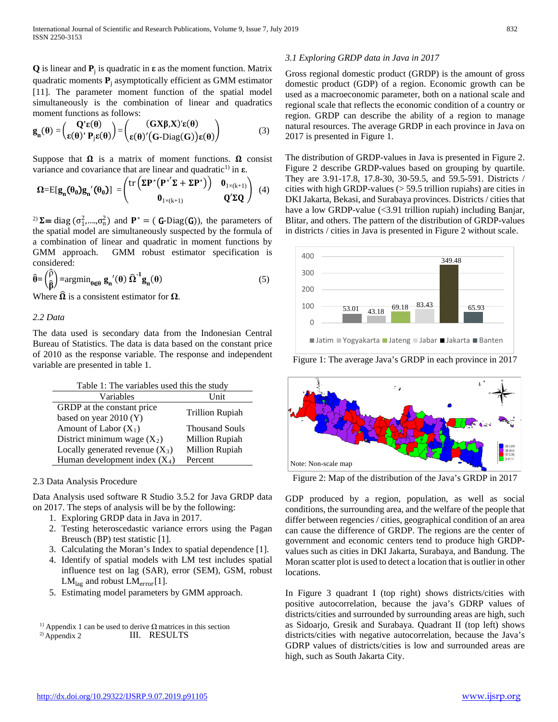**Q** is linear and  $P_i$  is quadratic in  $\varepsilon$  as the moment function. Matrix quadratic moments  $P_i$  asymptotically efficient as GMM estimator [11]. The parameter moment function of the spatial model simultaneously is the combination of linear and quadratics moment functions as follows:

$$
\mathbf{g}_{n}(\theta) = \begin{pmatrix} \mathbf{Q}'\mathbf{\varepsilon}(\theta) \\ \mathbf{\varepsilon}(\theta)' \mathbf{P}_{j}\mathbf{\varepsilon}(\theta) \end{pmatrix} = \begin{pmatrix} (\mathbf{G}\mathbf{X}\boldsymbol{\beta}, \mathbf{X})'\mathbf{\varepsilon}(\theta) \\ \mathbf{\varepsilon}(\theta)'(\mathbf{G}\text{-Diag}(\mathbf{G}))\mathbf{\varepsilon}(\theta) \end{pmatrix}
$$
(3)

Suppose that  $\Omega$  is a matrix of moment functions.  $\Omega$  consist variance and covariance that are linear and quadratic1) in **ε**.

$$
\Omega = E[g_n(\theta_0)g_n'(\theta_0)] = \begin{pmatrix} tr\left(\Sigma P^* (P^{*'}\Sigma + \Sigma P^*)\right) & 0_{1 \times (k+1)} \\ 0_{1 \times (k+1)} & Q'\Sigma Q \end{pmatrix} (4)
$$

<sup>2)</sup>  $\Sigma$  = diag ( $\sigma_1^2$ , ..., $\sigma_0^2$ ) and  $\mathbf{P}^*$  = ( **G**-Diag(**G**)), the parameters of the spatial model are simultaneously suspected by the formula of a combination of linear and quadratic in moment functions by GMM approach. GMM robust estimator specification is considered:

$$
\hat{\theta} = \begin{pmatrix} \hat{\rho} \\ \hat{\beta} \end{pmatrix} = \operatorname{argmin}_{\theta \in \Theta} \mathbf{g_n}'(\theta) \ \hat{\Omega}^{-1} \mathbf{g_n}(\theta) \tag{5}
$$

Where  $\Omega$  is a consistent estimator for  $\Omega$ .

## *2.2 Data*

The data used is secondary data from the Indonesian Central Bureau of Statistics. The data is data based on the constant price of 2010 as the response variable. The response and independent variable are presented in table 1.

| Table 1: The variables used this the study |                        |  |  |
|--------------------------------------------|------------------------|--|--|
| Variables                                  | <b>Unit</b>            |  |  |
| GRDP at the constant price                 | <b>Trillion Rupiah</b> |  |  |
| based on year 2010 (Y)                     |                        |  |  |
| Amount of Labor $(X_1)$                    | <b>Thousand Souls</b>  |  |  |
| District minimum wage $(X_2)$              | Million Rupiah         |  |  |
| Locally generated revenue $(X_3)$          | Million Rupiah         |  |  |
| Human development index $(X_4)$            | Percent                |  |  |

## 2.3 Data Analysis Procedure

Data Analysis used software R Studio 3.5.2 for Java GRDP data on 2017. The steps of analysis will be by the following:

- 1. Exploring GRDP data in Java in 2017.
- 2. Testing heteroscedastic variance errors using the Pagan Breusch (BP) test statistic [1].
- 3. Calculating the Moran's Index to spatial dependence [1].
- 4. Identify of spatial models with LM test includes spatial influence test on lag (SAR), error (SEM), GSM, robust  $LM<sub>lag</sub>$  and robust  $LM<sub>error</sub>[1]$ .
- 5. Estimating model parameters by GMM approach.

## *3.1 Exploring GRDP data in Java in 2017*

Gross regional domestic product (GRDP) is the amount of gross domestic product (GDP) of a region. Economic growth can be used as a macroeconomic parameter, both on a national scale and regional scale that reflects the economic condition of a country or region. GRDP can describe the ability of a region to manage natural resources. The average GRDP in each province in Java on 2017 is presented in Figure 1.

The distribution of GRDP-values in Java is presented in Figure 2. Figure 2 describe GRDP-values based on grouping by quartile. They are 3.91-17.8, 17.8-30, 30-59.5, and 59.5-591. Districts / cities with high GRDP-values (> 59.5 trillion rupiahs) are cities in DKI Jakarta, Bekasi, and Surabaya provinces. Districts / cities that have a low GRDP-value (<3.91 trillion rupiah) including Banjar, Blitar, and others. The pattern of the distribution of GRDP-values in districts / cities in Java is presented in Figure 2 without scale.



Figure 1: The average Java's GRDP in each province in 2017



Figure 2: Map of the distribution of the Java's GRDP in 2017

GDP produced by a region, population, as well as social conditions, the surrounding area, and the welfare of the people that differ between regencies / cities, geographical condition of an area can cause the difference of GRDP. The regions are the center of government and economic centers tend to produce high GRDPvalues such as cities in DKI Jakarta, Surabaya, and Bandung. The Moran scatter plot is used to detect a location that is outlier in other locations.

In Figure 3 quadrant I (top right) shows districts/cities with positive autocorrelation, because the java's GDRP values of districts/cities and surrounded by surrounding areas are high, such as Sidoarjo, Gresik and Surabaya. Quadrant II (top left) shows districts/cities with negative autocorrelation, because the Java's GDRP values of districts/cities is low and surrounded areas are high, such as South Jakarta City.

III. RESULTS <sup>1}</sup> Appendix 1 can be used to derive  $\Omega$  matrices in this section 2) Appendix 2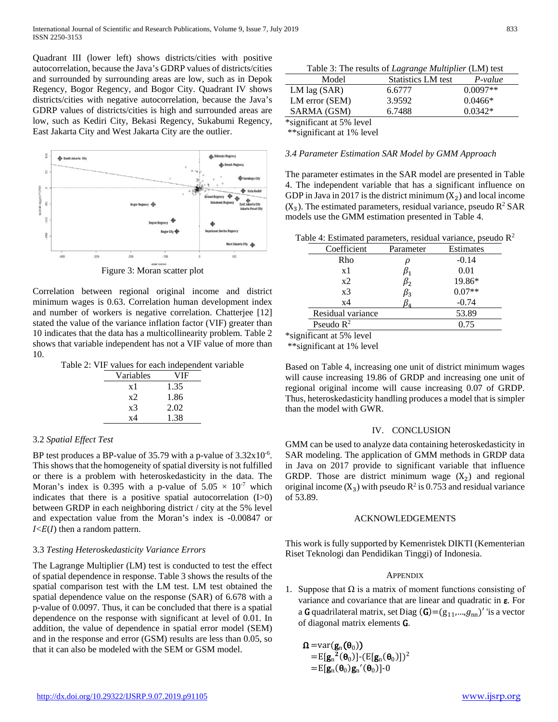Quadrant III (lower left) shows districts/cities with positive autocorrelation, because the Java's GDRP values of districts/cities and surrounded by surrounding areas are low, such as in Depok Regency, Bogor Regency, and Bogor City. Quadrant IV shows districts/cities with negative autocorrelation, because the Java's GDRP values of districts/cities is high and surrounded areas are low, such as Kediri City, Bekasi Regency, Sukabumi Regency, East Jakarta City and West Jakarta City are the outlier.



Correlation between regional original income and district minimum wages is 0.63. Correlation human development index and number of workers is negative correlation. Chatterjee [12] stated the value of the variance inflation factor (VIF) greater than 10 indicates that the data has a multicollinearity problem. Table 2 shows that variable independent has not a VIF value of more than 10.

|  |  |  |  |  |  |  | Table 2: VIF values for each independent variable |
|--|--|--|--|--|--|--|---------------------------------------------------|
|--|--|--|--|--|--|--|---------------------------------------------------|

| Variables | VIF  |
|-----------|------|
| x 1       | 1.35 |
| x2        | 1.86 |
| x3        | 2.02 |
| x4        | 1.38 |

## 3.2 *Spatial Effect Test*

BP test produces a BP-value of  $35.79$  with a p-value of  $3.32 \times 10^{-6}$ . This shows that the homogeneity of spatial diversity is not fulfilled or there is a problem with heteroskedasticity in the data. The Moran's index is 0.395 with a p-value of  $5.05 \times 10^{-7}$  which indicates that there is a positive spatial autocorrelation (I>0) between GRDP in each neighboring district / city at the 5% level and expectation value from the Moran's index is -0.00847 or  $I \leq E(I)$  then a random pattern.

## 3.3 *Testing Heteroskedasticity Variance Errors*

The Lagrange Multiplier (LM) test is conducted to test the effect of spatial dependence in response. Table 3 shows the results of the spatial comparison test with the LM test. LM test obtained the spatial dependence value on the response (SAR) of 6.678 with a p-value of 0.0097. Thus, it can be concluded that there is a spatial dependence on the response with significant at level of 0.01. In addition, the value of dependence in spatial error model (SEM) and in the response and error (GSM) results are less than 0.05, so that it can also be modeled with the SEM or GSM model.

Table 3: The results of *Lagrange Multiplier* (LM) test Model Statistics LM test *P-value* LM lag (SAR) 6.6777 0.0097<sup>\*\*</sup> LM error (SEM) 3.9592 0.0466\* SARMA (GSM) 6.7488 0.0342\* \*significant at 5% level

\*\*significant at 1% level

#### *3.4 Parameter Estimation SAR Model by GMM Approach*

The parameter estimates in the SAR model are presented in Table 4. The independent variable that has a significant influence on GDP in Java in 2017 is the district minimum  $(X_2)$  and local income  $(X_3)$ . The estimated parameters, residual variance, pseudo  $R^2$  SAR models use the GMM estimation presented in Table 4.

| Coefficient       | Parameter | Estimates |
|-------------------|-----------|-----------|
| Rho               |           | $-0.14$   |
| x1                |           | 0.01      |
| x2                | $\beta_2$ | 19.86*    |
| x <sub>3</sub>    | Pз        | $0.07**$  |
| x4                |           | $-0.74$   |
| Residual variance |           | 53.89     |
| Pseudo $R^2$      |           | 0.75      |
|                   |           |           |

\*significant at 5% level

\*\*significant at 1% level

Based on Table 4, increasing one unit of district minimum wages will cause increasing 19.86 of GRDP and increasing one unit of regional original income will cause increasing 0.07 of GRDP. Thus, heteroskedasticity handling produces a model that is simpler than the model with GWR.

#### IV. CONCLUSION

GMM can be used to analyze data containing heteroskedasticity in SAR modeling. The application of GMM methods in GRDP data in Java on 2017 provide to significant variable that influence GRDP. Those are district minimum wage  $(X_2)$  and regional original income  $(X_3)$  with pseudo  $R^2$  is 0.753 and residual variance of 53.89.

## ACKNOWLEDGEMENTS

This work is fully supported by Kemenristek DIKTI (Kementerian Riset Teknologi dan Pendidikan Tinggi) of Indonesia.

## **APPENDIX**

1. Suppose that  $\Omega$  is a matrix of moment functions consisting of variance and covariance that are linear and quadratic in ε. For a G quadrilateral matrix, set Diag  $(G)=(g_{11},...,g_{nn})'$  'is a vector of diagonal matrix elements G.

 $\Omega = \text{var}(g_n(\theta_0))$  $=$ E[g<sub>n</sub><sup>2</sup>( $\theta_0$ )]-(E[g<sub>n</sub>( $\theta_0$ )])<sup>2</sup>  $=$ E[ $\mathbf{g}_n(\theta_0)\mathbf{g}_n'(\theta_0)$ ]-0